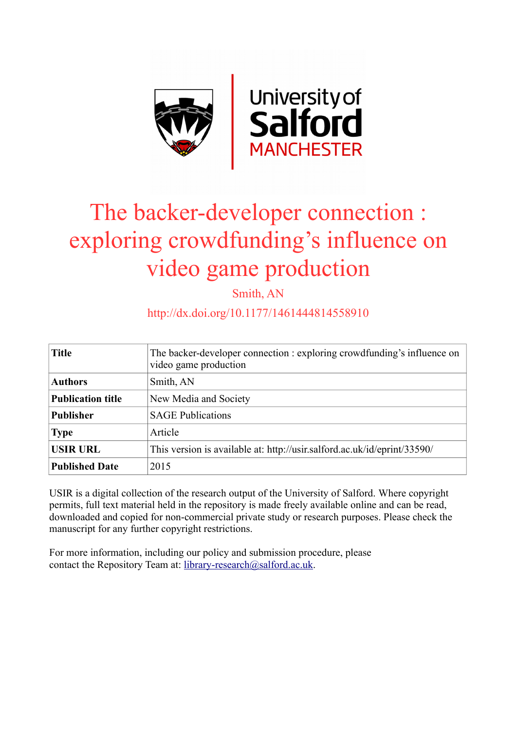

# The backer-developer connection : exploring crowdfunding's influence on video game production

Smith, AN

# http://dx.doi.org/10.1177/1461444814558910

| <b>Title</b>             | The backer-developer connection : exploring crowdfunding's influence on<br>video game production |
|--------------------------|--------------------------------------------------------------------------------------------------|
| <b>Authors</b>           | Smith, AN                                                                                        |
| <b>Publication title</b> | New Media and Society                                                                            |
| <b>Publisher</b>         | <b>SAGE Publications</b>                                                                         |
| <b>Type</b>              | Article                                                                                          |
| <b>USIR URL</b>          | This version is available at: http://usir.salford.ac.uk/id/eprint/33590/                         |
| <b>Published Date</b>    | 2015                                                                                             |

USIR is a digital collection of the research output of the University of Salford. Where copyright permits, full text material held in the repository is made freely available online and can be read, downloaded and copied for non-commercial private study or research purposes. Please check the manuscript for any further copyright restrictions.

For more information, including our policy and submission procedure, please contact the Repository Team at: [library-research@salford.ac.uk.](mailto:library-research@salford.ac.uk)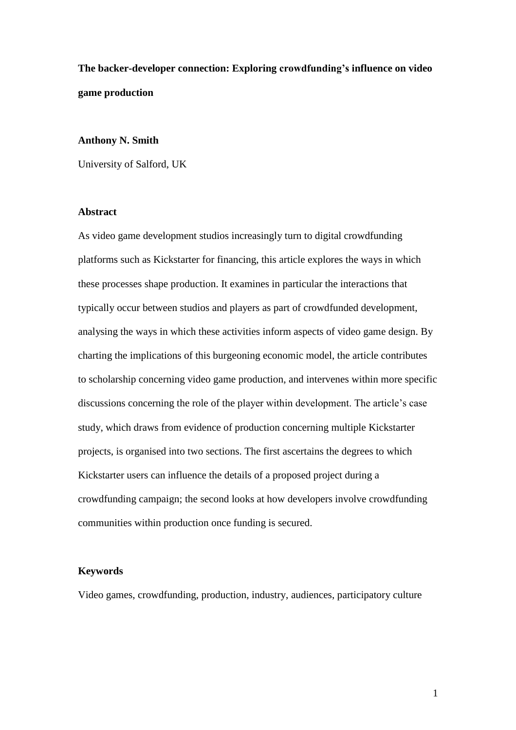**The backer-developer connection: Exploring crowdfunding's influence on video game production**

## **Anthony N. Smith**

University of Salford, UK

#### **Abstract**

As video game development studios increasingly turn to digital crowdfunding platforms such as Kickstarter for financing, this article explores the ways in which these processes shape production. It examines in particular the interactions that typically occur between studios and players as part of crowdfunded development, analysing the ways in which these activities inform aspects of video game design. By charting the implications of this burgeoning economic model, the article contributes to scholarship concerning video game production, and intervenes within more specific discussions concerning the role of the player within development. The article's case study, which draws from evidence of production concerning multiple Kickstarter projects, is organised into two sections. The first ascertains the degrees to which Kickstarter users can influence the details of a proposed project during a crowdfunding campaign; the second looks at how developers involve crowdfunding communities within production once funding is secured.

# **Keywords**

Video games, crowdfunding, production, industry, audiences, participatory culture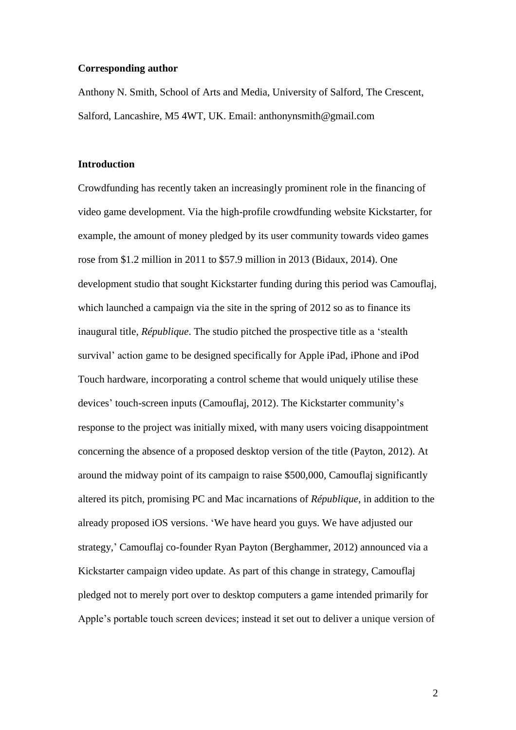#### **Corresponding author**

Anthony N. Smith, School of Arts and Media, University of Salford, The Crescent, Salford, Lancashire, M5 4WT, UK. Email: anthonynsmith@gmail.com

#### **Introduction**

Crowdfunding has recently taken an increasingly prominent role in the financing of video game development. Via the high-profile crowdfunding website Kickstarter, for example, the amount of money pledged by its user community towards video games rose from \$1.2 million in 2011 to \$57.9 million in 2013 (Bidaux, 2014). One development studio that sought Kickstarter funding during this period was Camouflaj, which launched a campaign via the site in the spring of 2012 so as to finance its inaugural title, *République*. The studio pitched the prospective title as a 'stealth survival' action game to be designed specifically for Apple iPad, iPhone and iPod Touch hardware, incorporating a control scheme that would uniquely utilise these devices' touch-screen inputs (Camouflaj, 2012). The Kickstarter community's response to the project was initially mixed, with many users voicing disappointment concerning the absence of a proposed desktop version of the title (Payton, 2012). At around the midway point of its campaign to raise \$500,000, Camouflaj significantly altered its pitch, promising PC and Mac incarnations of *République*, in addition to the already proposed iOS versions. 'We have heard you guys. We have adjusted our strategy,' Camouflaj co-founder Ryan Payton (Berghammer, 2012) announced via a Kickstarter campaign video update. As part of this change in strategy, Camouflaj pledged not to merely port over to desktop computers a game intended primarily for Apple's portable touch screen devices; instead it set out to deliver a unique version of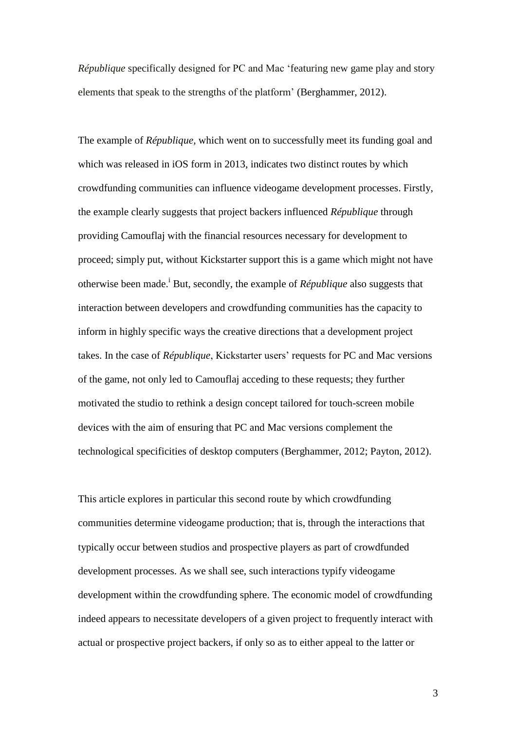*République* specifically designed for PC and Mac 'featuring new game play and story elements that speak to the strengths of the platform' (Berghammer, 2012).

The example of *République*, which went on to successfully meet its funding goal and which was released in iOS form in 2013, indicates two distinct routes by which crowdfunding communities can influence videogame development processes. Firstly, the example clearly suggests that project backers influenced *République* through providing Camouflaj with the financial resources necessary for development to proceed; simply put, without Kickstarter support this is a game which might not have otherwise been made.<sup>i</sup> But, secondly, the example of *République* also suggests that interaction between developers and crowdfunding communities has the capacity to inform in highly specific ways the creative directions that a development project takes. In the case of *République*, Kickstarter users' requests for PC and Mac versions of the game, not only led to Camouflaj acceding to these requests; they further motivated the studio to rethink a design concept tailored for touch-screen mobile devices with the aim of ensuring that PC and Mac versions complement the technological specificities of desktop computers (Berghammer, 2012; Payton, 2012).

This article explores in particular this second route by which crowdfunding communities determine videogame production; that is, through the interactions that typically occur between studios and prospective players as part of crowdfunded development processes. As we shall see, such interactions typify videogame development within the crowdfunding sphere. The economic model of crowdfunding indeed appears to necessitate developers of a given project to frequently interact with actual or prospective project backers, if only so as to either appeal to the latter or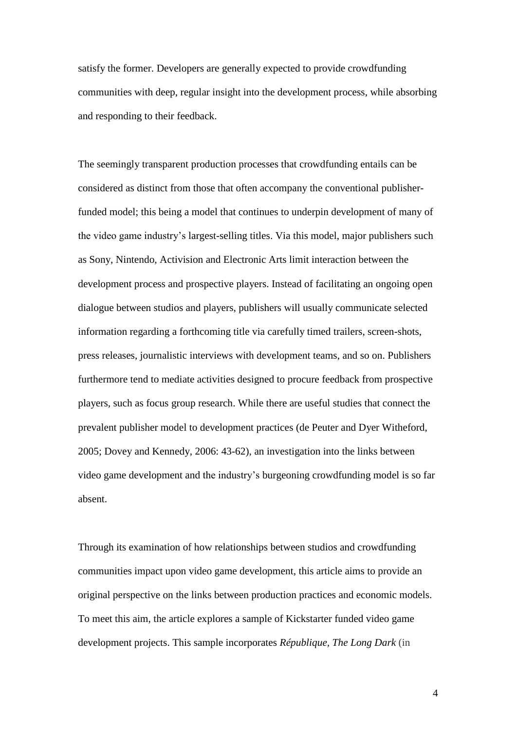satisfy the former. Developers are generally expected to provide crowdfunding communities with deep, regular insight into the development process, while absorbing and responding to their feedback.

The seemingly transparent production processes that crowdfunding entails can be considered as distinct from those that often accompany the conventional publisherfunded model; this being a model that continues to underpin development of many of the video game industry's largest-selling titles. Via this model, major publishers such as Sony, Nintendo, Activision and Electronic Arts limit interaction between the development process and prospective players. Instead of facilitating an ongoing open dialogue between studios and players, publishers will usually communicate selected information regarding a forthcoming title via carefully timed trailers, screen-shots, press releases, journalistic interviews with development teams, and so on. Publishers furthermore tend to mediate activities designed to procure feedback from prospective players, such as focus group research. While there are useful studies that connect the prevalent publisher model to development practices (de Peuter and Dyer Witheford, 2005; Dovey and Kennedy, 2006: 43-62), an investigation into the links between video game development and the industry's burgeoning crowdfunding model is so far absent.

Through its examination of how relationships between studios and crowdfunding communities impact upon video game development, this article aims to provide an original perspective on the links between production practices and economic models. To meet this aim, the article explores a sample of Kickstarter funded video game development projects. This sample incorporates *République, The Long Dark* (in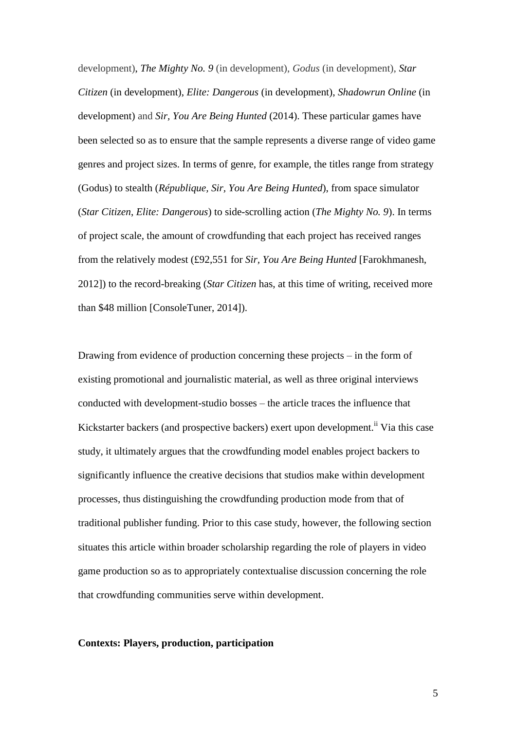development), *The Mighty No. 9* (in development), *Godus* (in development), *Star Citizen* (in development), *Elite: Dangerous* (in development), *Shadowrun Online* (in development) and *Sir, You Are Being Hunted* (2014). These particular games have been selected so as to ensure that the sample represents a diverse range of video game genres and project sizes. In terms of genre, for example, the titles range from strategy (Godus) to stealth (*République, Sir, You Are Being Hunted*), from space simulator (*Star Citizen*, *Elite: Dangerous*) to side-scrolling action (*The Mighty No. 9*). In terms of project scale, the amount of crowdfunding that each project has received ranges from the relatively modest (£92,551 for *Sir, You Are Being Hunted* [Farokhmanesh, 2012]) to the record-breaking (*Star Citizen* has, at this time of writing, received more than \$48 million [ConsoleTuner, 2014]).

Drawing from evidence of production concerning these projects – in the form of existing promotional and journalistic material, as well as three original interviews conducted with development-studio bosses – the article traces the influence that Kickstarter backers (and prospective backers) exert upon development.<sup>ii</sup> Via this case study, it ultimately argues that the crowdfunding model enables project backers to significantly influence the creative decisions that studios make within development processes, thus distinguishing the crowdfunding production mode from that of traditional publisher funding. Prior to this case study, however, the following section situates this article within broader scholarship regarding the role of players in video game production so as to appropriately contextualise discussion concerning the role that crowdfunding communities serve within development.

## **Contexts: Players, production, participation**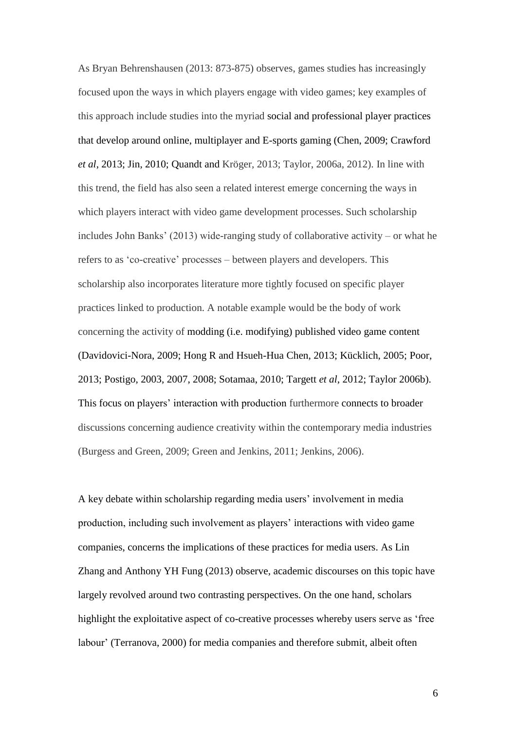As Bryan Behrenshausen (2013: 873-875) observes, games studies has increasingly focused upon the ways in which players engage with video games; key examples of this approach include studies into the myriad social and professional player practices that develop around online, multiplayer and E-sports gaming (Chen, 2009; Crawford *et al*, 2013; Jin, 2010; Quandt and Kröger, 2013; Taylor, 2006a, 2012). In line with this trend, the field has also seen a related interest emerge concerning the ways in which players interact with video game development processes. Such scholarship includes John Banks'  $(2013)$  wide-ranging study of collaborative activity – or what he refers to as 'co-creative' processes – between players and developers. This scholarship also incorporates literature more tightly focused on specific player practices linked to production. A notable example would be the body of work concerning the activity of modding (i.e. modifying) published video game content (Davidovici-Nora, 2009; Hong R and Hsueh-Hua Chen, 2013; Kücklich, 2005; Poor, 2013; Postigo, 2003, 2007, 2008; Sotamaa, 2010; Targett *et al*, 2012; Taylor 2006b). This focus on players' interaction with production furthermore connects to broader discussions concerning audience creativity within the contemporary media industries (Burgess and Green, 2009; Green and Jenkins, 2011; Jenkins, 2006).

A key debate within scholarship regarding media users' involvement in media production, including such involvement as players' interactions with video game companies, concerns the implications of these practices for media users. As Lin Zhang and Anthony YH Fung (2013) observe, academic discourses on this topic have largely revolved around two contrasting perspectives. On the one hand, scholars highlight the exploitative aspect of co-creative processes whereby users serve as 'free labour' (Terranova, 2000) for media companies and therefore submit, albeit often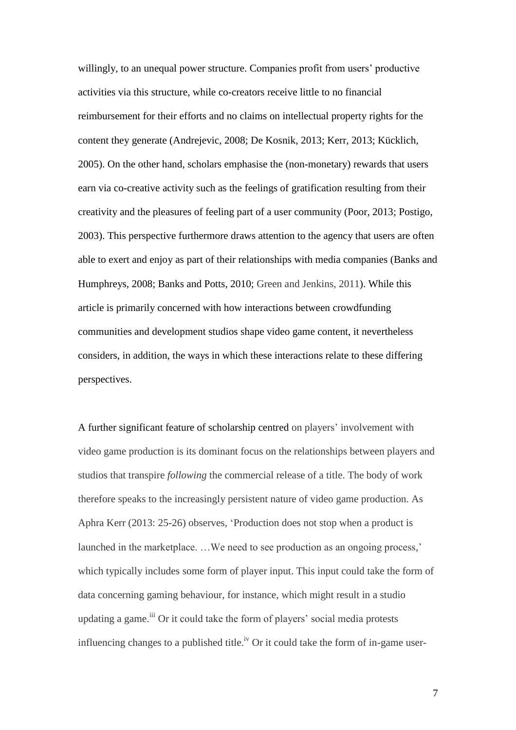willingly, to an unequal power structure. Companies profit from users' productive activities via this structure, while co-creators receive little to no financial reimbursement for their efforts and no claims on intellectual property rights for the content they generate (Andrejevic, 2008; De Kosnik, 2013; Kerr, 2013; Kücklich, 2005). On the other hand, scholars emphasise the (non-monetary) rewards that users earn via co-creative activity such as the feelings of gratification resulting from their creativity and the pleasures of feeling part of a user community (Poor, 2013; Postigo, 2003). This perspective furthermore draws attention to the agency that users are often able to exert and enjoy as part of their relationships with media companies (Banks and Humphreys, 2008; Banks and Potts, 2010; Green and Jenkins, 2011). While this article is primarily concerned with how interactions between crowdfunding communities and development studios shape video game content, it nevertheless considers, in addition, the ways in which these interactions relate to these differing perspectives.

A further significant feature of scholarship centred on players' involvement with video game production is its dominant focus on the relationships between players and studios that transpire *following* the commercial release of a title. The body of work therefore speaks to the increasingly persistent nature of video game production. As Aphra Kerr (2013: 25-26) observes, 'Production does not stop when a product is launched in the marketplace. …We need to see production as an ongoing process,' which typically includes some form of player input. This input could take the form of data concerning gaming behaviour, for instance, which might result in a studio updating a game.<sup>iii</sup> Or it could take the form of players' social media protests influencing changes to a published title.<sup>iv</sup> Or it could take the form of in-game user-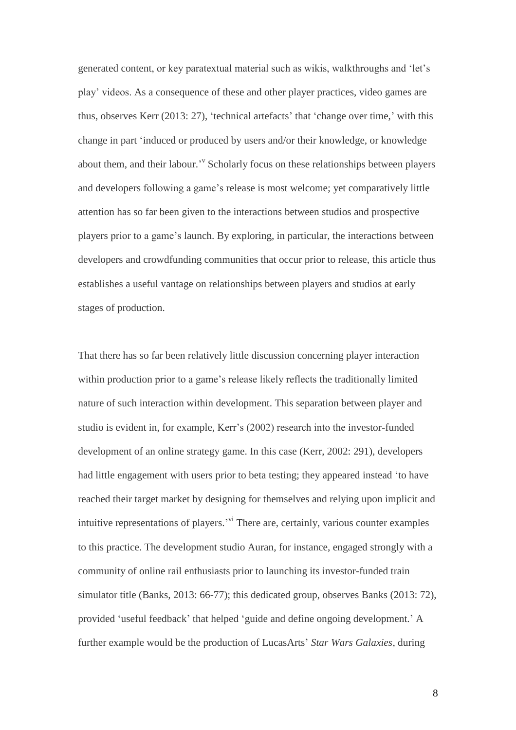generated content, or key paratextual material such as wikis, walkthroughs and 'let's play' videos. As a consequence of these and other player practices, video games are thus, observes Kerr (2013: 27), 'technical artefacts' that 'change over time,' with this change in part 'induced or produced by users and/or their knowledge, or knowledge about them, and their labour.<sup>'</sup> Scholarly focus on these relationships between players and developers following a game's release is most welcome; yet comparatively little attention has so far been given to the interactions between studios and prospective players prior to a game's launch. By exploring, in particular, the interactions between developers and crowdfunding communities that occur prior to release, this article thus establishes a useful vantage on relationships between players and studios at early stages of production.

That there has so far been relatively little discussion concerning player interaction within production prior to a game's release likely reflects the traditionally limited nature of such interaction within development. This separation between player and studio is evident in, for example, Kerr's (2002) research into the investor-funded development of an online strategy game. In this case (Kerr, 2002: 291), developers had little engagement with users prior to beta testing; they appeared instead 'to have reached their target market by designing for themselves and relying upon implicit and intuitive representations of players.<sup>'vi</sup> There are, certainly, various counter examples to this practice. The development studio Auran, for instance, engaged strongly with a community of online rail enthusiasts prior to launching its investor-funded train simulator title (Banks, 2013: 66-77); this dedicated group, observes Banks (2013: 72), provided 'useful feedback' that helped 'guide and define ongoing development.' A further example would be the production of LucasArts' *Star Wars Galaxies*, during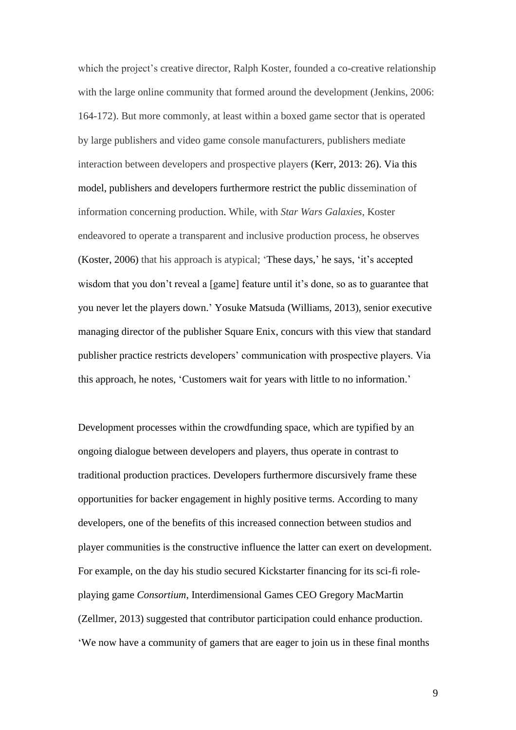which the project's creative director, Ralph Koster, founded a co-creative relationship with the large online community that formed around the development (Jenkins, 2006: 164-172). But more commonly, at least within a boxed game sector that is operated by large publishers and video game console manufacturers, publishers mediate interaction between developers and prospective players (Kerr, 2013: 26). Via this model, publishers and developers furthermore restrict the public dissemination of information concerning production. While, with *Star Wars Galaxies*, Koster endeavored to operate a transparent and inclusive production process, he observes (Koster, 2006) that his approach is atypical; 'These days,' he says, 'it's accepted wisdom that you don't reveal a [game] feature until it's done, so as to guarantee that you never let the players down.' Yosuke Matsuda (Williams, 2013), senior executive managing director of the publisher Square Enix, concurs with this view that standard publisher practice restricts developers' communication with prospective players. Via this approach, he notes, 'Customers wait for years with little to no information.'

Development processes within the crowdfunding space, which are typified by an ongoing dialogue between developers and players, thus operate in contrast to traditional production practices. Developers furthermore discursively frame these opportunities for backer engagement in highly positive terms. According to many developers, one of the benefits of this increased connection between studios and player communities is the constructive influence the latter can exert on development. For example, on the day his studio secured Kickstarter financing for its sci-fi roleplaying game *Consortium*, Interdimensional Games CEO Gregory MacMartin (Zellmer, 2013) suggested that contributor participation could enhance production. 'We now have a community of gamers that are eager to join us in these final months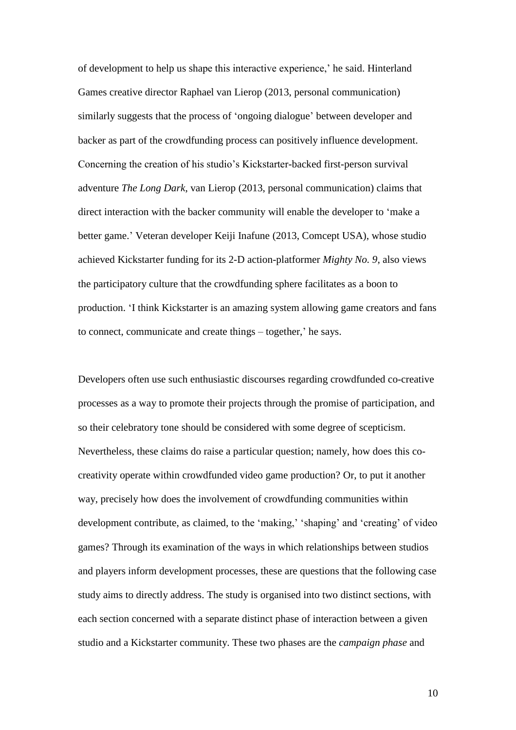of development to help us shape this interactive experience,' he said. Hinterland Games creative director Raphael van Lierop (2013, personal communication) similarly suggests that the process of 'ongoing dialogue' between developer and backer as part of the crowdfunding process can positively influence development. Concerning the creation of his studio's Kickstarter-backed first-person survival adventure *The Long Dark*, van Lierop (2013, personal communication) claims that direct interaction with the backer community will enable the developer to 'make a better game.' Veteran developer Keiji Inafune (2013, Comcept USA), whose studio achieved Kickstarter funding for its 2-D action-platformer *Mighty No. 9*, also views the participatory culture that the crowdfunding sphere facilitates as a boon to production. 'I think Kickstarter is an amazing system allowing game creators and fans to connect, communicate and create things – together,' he says.

Developers often use such enthusiastic discourses regarding crowdfunded co-creative processes as a way to promote their projects through the promise of participation, and so their celebratory tone should be considered with some degree of scepticism. Nevertheless, these claims do raise a particular question; namely, how does this cocreativity operate within crowdfunded video game production? Or, to put it another way, precisely how does the involvement of crowdfunding communities within development contribute, as claimed, to the 'making,' 'shaping' and 'creating' of video games? Through its examination of the ways in which relationships between studios and players inform development processes, these are questions that the following case study aims to directly address. The study is organised into two distinct sections, with each section concerned with a separate distinct phase of interaction between a given studio and a Kickstarter community. These two phases are the *campaign phase* and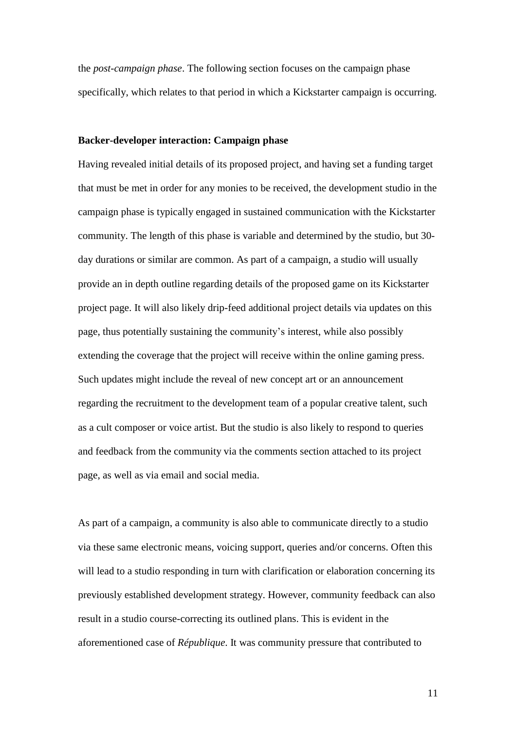the *post-campaign phase*. The following section focuses on the campaign phase specifically, which relates to that period in which a Kickstarter campaign is occurring.

#### **Backer-developer interaction: Campaign phase**

Having revealed initial details of its proposed project, and having set a funding target that must be met in order for any monies to be received, the development studio in the campaign phase is typically engaged in sustained communication with the Kickstarter community. The length of this phase is variable and determined by the studio, but 30 day durations or similar are common. As part of a campaign, a studio will usually provide an in depth outline regarding details of the proposed game on its Kickstarter project page. It will also likely drip-feed additional project details via updates on this page, thus potentially sustaining the community's interest, while also possibly extending the coverage that the project will receive within the online gaming press. Such updates might include the reveal of new concept art or an announcement regarding the recruitment to the development team of a popular creative talent, such as a cult composer or voice artist. But the studio is also likely to respond to queries and feedback from the community via the comments section attached to its project page, as well as via email and social media.

As part of a campaign, a community is also able to communicate directly to a studio via these same electronic means, voicing support, queries and/or concerns. Often this will lead to a studio responding in turn with clarification or elaboration concerning its previously established development strategy. However, community feedback can also result in a studio course-correcting its outlined plans. This is evident in the aforementioned case of *République*. It was community pressure that contributed to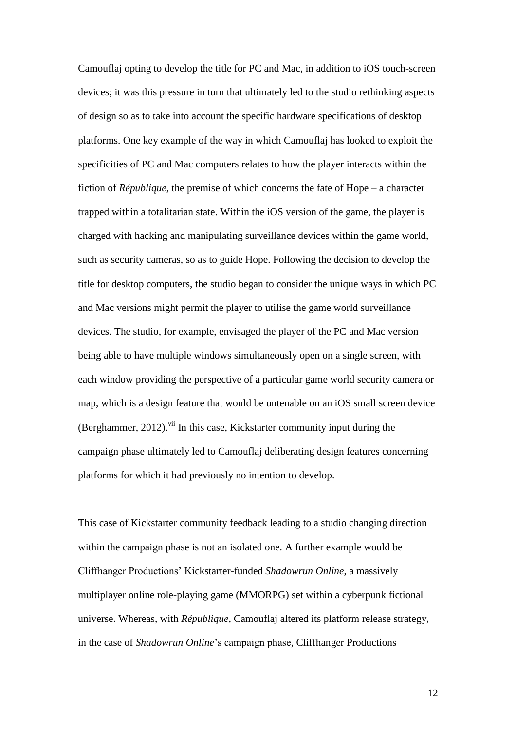Camouflaj opting to develop the title for PC and Mac, in addition to iOS touch-screen devices; it was this pressure in turn that ultimately led to the studio rethinking aspects of design so as to take into account the specific hardware specifications of desktop platforms. One key example of the way in which Camouflaj has looked to exploit the specificities of PC and Mac computers relates to how the player interacts within the fiction of *République*, the premise of which concerns the fate of Hope – a character trapped within a totalitarian state. Within the iOS version of the game, the player is charged with hacking and manipulating surveillance devices within the game world, such as security cameras, so as to guide Hope. Following the decision to develop the title for desktop computers, the studio began to consider the unique ways in which PC and Mac versions might permit the player to utilise the game world surveillance devices. The studio, for example, envisaged the player of the PC and Mac version being able to have multiple windows simultaneously open on a single screen, with each window providing the perspective of a particular game world security camera or map, which is a design feature that would be untenable on an iOS small screen device (Berghammer, 2012).<sup>vii</sup> In this case, Kickstarter community input during the campaign phase ultimately led to Camouflaj deliberating design features concerning platforms for which it had previously no intention to develop.

This case of Kickstarter community feedback leading to a studio changing direction within the campaign phase is not an isolated one. A further example would be Cliffhanger Productions' Kickstarter-funded *Shadowrun Online*, a massively multiplayer online role-playing game (MMORPG) set within a cyberpunk fictional universe. Whereas, with *République*, Camouflaj altered its platform release strategy, in the case of *Shadowrun Online*'s campaign phase, Cliffhanger Productions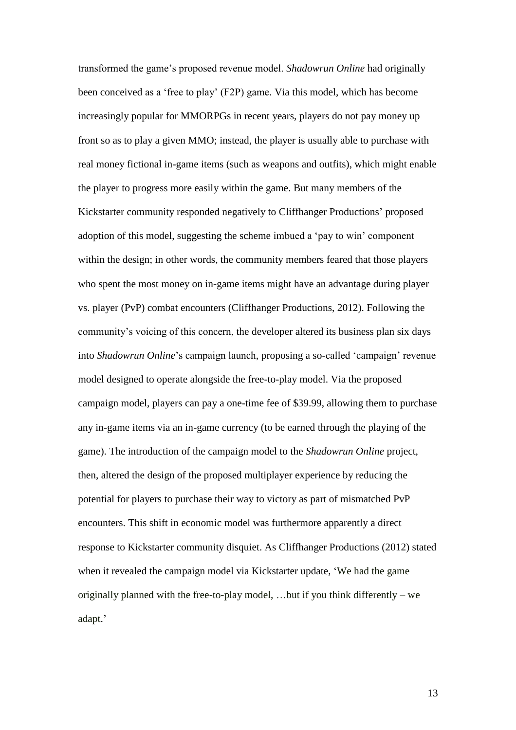transformed the game's proposed revenue model. *Shadowrun Online* had originally been conceived as a 'free to play' (F2P) game. Via this model, which has become increasingly popular for MMORPGs in recent years, players do not pay money up front so as to play a given MMO; instead, the player is usually able to purchase with real money fictional in-game items (such as weapons and outfits), which might enable the player to progress more easily within the game. But many members of the Kickstarter community responded negatively to Cliffhanger Productions' proposed adoption of this model, suggesting the scheme imbued a 'pay to win' component within the design; in other words, the community members feared that those players who spent the most money on in-game items might have an advantage during player vs. player (PvP) combat encounters (Cliffhanger Productions, 2012). Following the community's voicing of this concern, the developer altered its business plan six days into *Shadowrun Online*'s campaign launch, proposing a so-called 'campaign' revenue model designed to operate alongside the free-to-play model. Via the proposed campaign model, players can pay a one-time fee of \$39.99, allowing them to purchase any in-game items via an in-game currency (to be earned through the playing of the game). The introduction of the campaign model to the *Shadowrun Online* project, then, altered the design of the proposed multiplayer experience by reducing the potential for players to purchase their way to victory as part of mismatched PvP encounters. This shift in economic model was furthermore apparently a direct response to Kickstarter community disquiet. As Cliffhanger Productions (2012) stated when it revealed the campaign model via Kickstarter update, 'We had the game originally planned with the free-to-play model, …but if you think differently – we adapt.'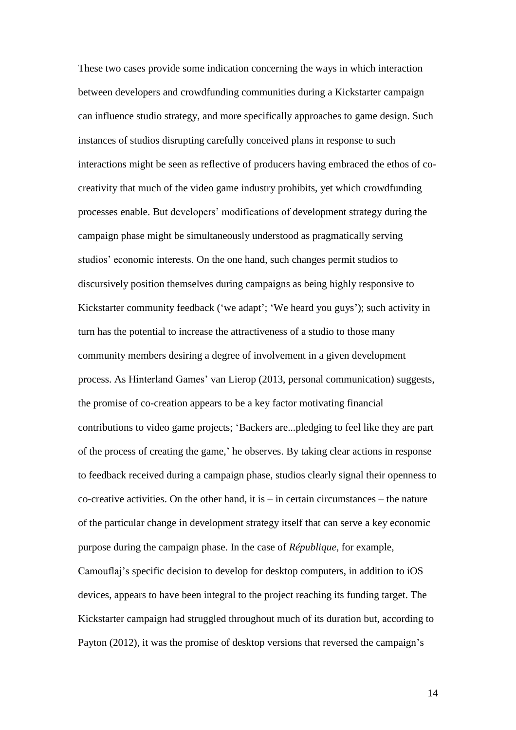These two cases provide some indication concerning the ways in which interaction between developers and crowdfunding communities during a Kickstarter campaign can influence studio strategy, and more specifically approaches to game design. Such instances of studios disrupting carefully conceived plans in response to such interactions might be seen as reflective of producers having embraced the ethos of cocreativity that much of the video game industry prohibits, yet which crowdfunding processes enable. But developers' modifications of development strategy during the campaign phase might be simultaneously understood as pragmatically serving studios' economic interests. On the one hand, such changes permit studios to discursively position themselves during campaigns as being highly responsive to Kickstarter community feedback ('we adapt'; 'We heard you guys'); such activity in turn has the potential to increase the attractiveness of a studio to those many community members desiring a degree of involvement in a given development process. As Hinterland Games' van Lierop (2013, personal communication) suggests, the promise of co-creation appears to be a key factor motivating financial contributions to video game projects; 'Backers are...pledging to feel like they are part of the process of creating the game,' he observes. By taking clear actions in response to feedback received during a campaign phase, studios clearly signal their openness to  $\alpha$ -creative activities. On the other hand, it is – in certain circumstances – the nature of the particular change in development strategy itself that can serve a key economic purpose during the campaign phase. In the case of *République*, for example, Camouflaj's specific decision to develop for desktop computers, in addition to iOS devices, appears to have been integral to the project reaching its funding target. The Kickstarter campaign had struggled throughout much of its duration but, according to Payton (2012), it was the promise of desktop versions that reversed the campaign's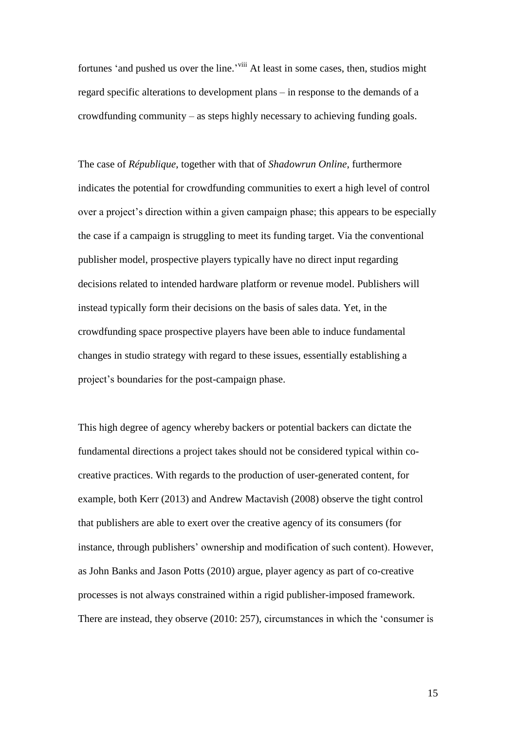fortunes 'and pushed us over the line.'<sup>viii</sup> At least in some cases, then, studios might regard specific alterations to development plans – in response to the demands of a crowdfunding community – as steps highly necessary to achieving funding goals.

The case of *République*, together with that of *Shadowrun Online*, furthermore indicates the potential for crowdfunding communities to exert a high level of control over a project's direction within a given campaign phase; this appears to be especially the case if a campaign is struggling to meet its funding target. Via the conventional publisher model, prospective players typically have no direct input regarding decisions related to intended hardware platform or revenue model. Publishers will instead typically form their decisions on the basis of sales data. Yet, in the crowdfunding space prospective players have been able to induce fundamental changes in studio strategy with regard to these issues, essentially establishing a project's boundaries for the post-campaign phase.

This high degree of agency whereby backers or potential backers can dictate the fundamental directions a project takes should not be considered typical within cocreative practices. With regards to the production of user-generated content, for example, both Kerr (2013) and Andrew Mactavish (2008) observe the tight control that publishers are able to exert over the creative agency of its consumers (for instance, through publishers' ownership and modification of such content). However, as John Banks and Jason Potts (2010) argue, player agency as part of co-creative processes is not always constrained within a rigid publisher-imposed framework. There are instead, they observe (2010: 257), circumstances in which the 'consumer is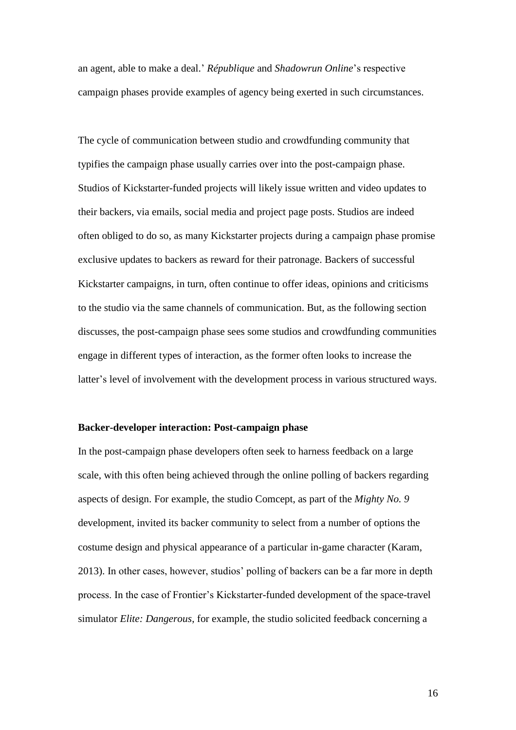an agent, able to make a deal.' *République* and *Shadowrun Online*'s respective campaign phases provide examples of agency being exerted in such circumstances.

The cycle of communication between studio and crowdfunding community that typifies the campaign phase usually carries over into the post-campaign phase. Studios of Kickstarter-funded projects will likely issue written and video updates to their backers, via emails, social media and project page posts. Studios are indeed often obliged to do so, as many Kickstarter projects during a campaign phase promise exclusive updates to backers as reward for their patronage. Backers of successful Kickstarter campaigns, in turn, often continue to offer ideas, opinions and criticisms to the studio via the same channels of communication. But, as the following section discusses, the post-campaign phase sees some studios and crowdfunding communities engage in different types of interaction, as the former often looks to increase the latter's level of involvement with the development process in various structured ways.

#### **Backer-developer interaction: Post-campaign phase**

In the post-campaign phase developers often seek to harness feedback on a large scale, with this often being achieved through the online polling of backers regarding aspects of design. For example, the studio Comcept, as part of the *Mighty No. 9* development, invited its backer community to select from a number of options the costume design and physical appearance of a particular in-game character (Karam, 2013). In other cases, however, studios' polling of backers can be a far more in depth process. In the case of Frontier's Kickstarter-funded development of the space-travel simulator *Elite: Dangerous*, for example, the studio solicited feedback concerning a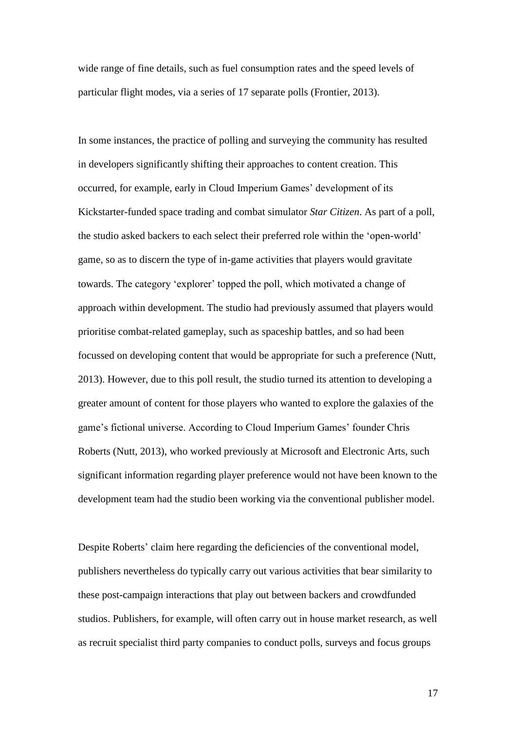wide range of fine details, such as fuel consumption rates and the speed levels of particular flight modes, via a series of 17 separate polls (Frontier, 2013).

In some instances, the practice of polling and surveying the community has resulted in developers significantly shifting their approaches to content creation. This occurred, for example, early in Cloud Imperium Games' development of its Kickstarter-funded space trading and combat simulator *Star Citizen*. As part of a poll, the studio asked backers to each select their preferred role within the 'open-world' game, so as to discern the type of in-game activities that players would gravitate towards. The category 'explorer' topped the poll, which motivated a change of approach within development. The studio had previously assumed that players would prioritise combat-related gameplay, such as spaceship battles, and so had been focussed on developing content that would be appropriate for such a preference (Nutt, 2013). However, due to this poll result, the studio turned its attention to developing a greater amount of content for those players who wanted to explore the galaxies of the game's fictional universe. According to Cloud Imperium Games' founder Chris Roberts (Nutt, 2013), who worked previously at Microsoft and Electronic Arts, such significant information regarding player preference would not have been known to the development team had the studio been working via the conventional publisher model.

Despite Roberts' claim here regarding the deficiencies of the conventional model, publishers nevertheless do typically carry out various activities that bear similarity to these post-campaign interactions that play out between backers and crowdfunded studios. Publishers, for example, will often carry out in house market research, as well as recruit specialist third party companies to conduct polls, surveys and focus groups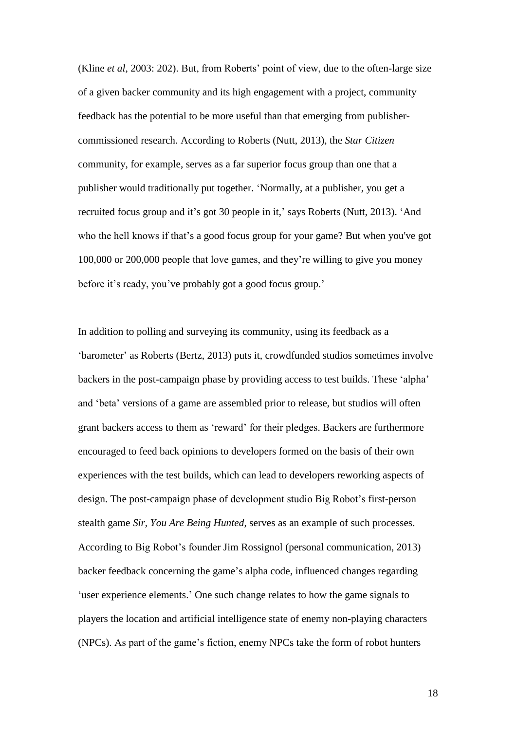(Kline *et al*, 2003: 202). But, from Roberts' point of view, due to the often-large size of a given backer community and its high engagement with a project, community feedback has the potential to be more useful than that emerging from publishercommissioned research. According to Roberts (Nutt, 2013), the *Star Citizen* community, for example, serves as a far superior focus group than one that a publisher would traditionally put together. 'Normally, at a publisher, you get a recruited focus group and it's got 30 people in it,' says Roberts (Nutt, 2013). 'And who the hell knows if that's a good focus group for your game? But when you've got 100,000 or 200,000 people that love games, and they're willing to give you money before it's ready, you've probably got a good focus group.'

In addition to polling and surveying its community, using its feedback as a 'barometer' as Roberts (Bertz, 2013) puts it, crowdfunded studios sometimes involve backers in the post-campaign phase by providing access to test builds. These 'alpha' and 'beta' versions of a game are assembled prior to release, but studios will often grant backers access to them as 'reward' for their pledges. Backers are furthermore encouraged to feed back opinions to developers formed on the basis of their own experiences with the test builds, which can lead to developers reworking aspects of design. The post-campaign phase of development studio Big Robot's first-person stealth game *Sir, You Are Being Hunted*, serves as an example of such processes. According to Big Robot's founder Jim Rossignol (personal communication, 2013) backer feedback concerning the game's alpha code, influenced changes regarding 'user experience elements.' One such change relates to how the game signals to players the location and artificial intelligence state of enemy non-playing characters (NPCs). As part of the game's fiction, enemy NPCs take the form of robot hunters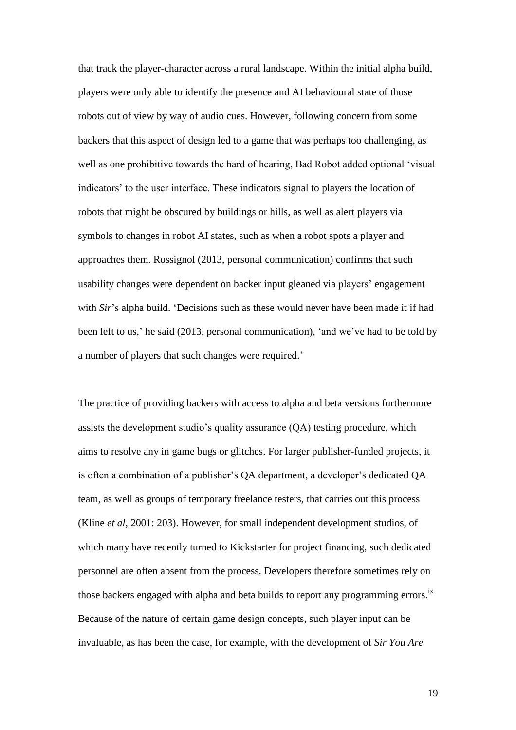that track the player-character across a rural landscape. Within the initial alpha build, players were only able to identify the presence and AI behavioural state of those robots out of view by way of audio cues. However, following concern from some backers that this aspect of design led to a game that was perhaps too challenging, as well as one prohibitive towards the hard of hearing, Bad Robot added optional 'visual indicators' to the user interface. These indicators signal to players the location of robots that might be obscured by buildings or hills, as well as alert players via symbols to changes in robot AI states, such as when a robot spots a player and approaches them. Rossignol (2013, personal communication) confirms that such usability changes were dependent on backer input gleaned via players' engagement with *Sir*'s alpha build. 'Decisions such as these would never have been made it if had been left to us,' he said (2013, personal communication), 'and we've had to be told by a number of players that such changes were required.'

The practice of providing backers with access to alpha and beta versions furthermore assists the development studio's quality assurance (QA) testing procedure, which aims to resolve any in game bugs or glitches. For larger publisher-funded projects, it is often a combination of a publisher's QA department, a developer's dedicated QA team, as well as groups of temporary freelance testers, that carries out this process (Kline *et al*, 2001: 203). However, for small independent development studios, of which many have recently turned to Kickstarter for project financing, such dedicated personnel are often absent from the process. Developers therefore sometimes rely on those backers engaged with alpha and beta builds to report any programming errors.<sup>ix</sup> Because of the nature of certain game design concepts, such player input can be invaluable, as has been the case, for example, with the development of *Sir You Are*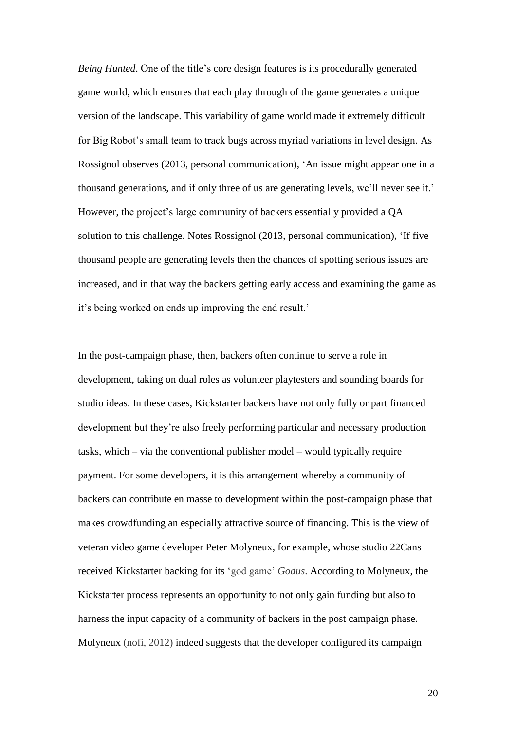*Being Hunted*. One of the title's core design features is its procedurally generated game world, which ensures that each play through of the game generates a unique version of the landscape. This variability of game world made it extremely difficult for Big Robot's small team to track bugs across myriad variations in level design. As Rossignol observes (2013, personal communication), 'An issue might appear one in a thousand generations, and if only three of us are generating levels, we'll never see it.' However, the project's large community of backers essentially provided a QA solution to this challenge. Notes Rossignol (2013, personal communication), 'If five thousand people are generating levels then the chances of spotting serious issues are increased, and in that way the backers getting early access and examining the game as it's being worked on ends up improving the end result.'

In the post-campaign phase, then, backers often continue to serve a role in development, taking on dual roles as volunteer playtesters and sounding boards for studio ideas. In these cases, Kickstarter backers have not only fully or part financed development but they're also freely performing particular and necessary production tasks, which – via the conventional publisher model – would typically require payment. For some developers, it is this arrangement whereby a community of backers can contribute en masse to development within the post-campaign phase that makes crowdfunding an especially attractive source of financing. This is the view of veteran video game developer Peter Molyneux, for example, whose studio 22Cans received Kickstarter backing for its 'god game' *Godus*. According to Molyneux, the Kickstarter process represents an opportunity to not only gain funding but also to harness the input capacity of a community of backers in the post campaign phase. Molyneux (nofi, 2012) indeed suggests that the developer configured its campaign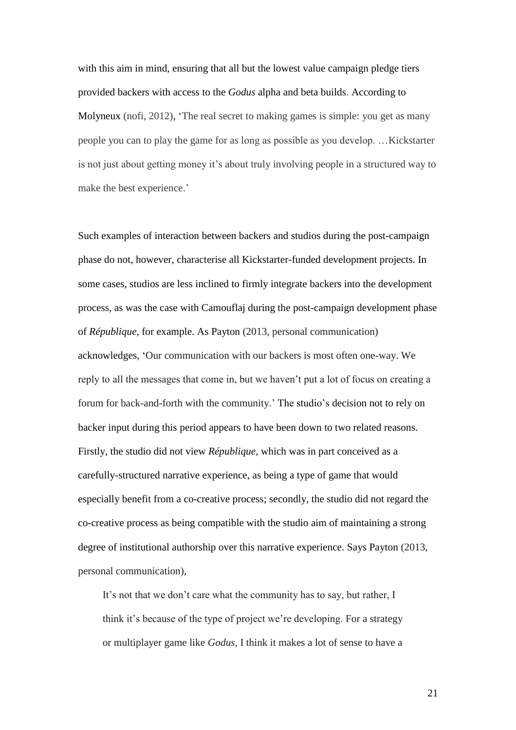with this aim in mind, ensuring that all but the lowest value campaign pledge tiers provided backers with access to the *Godus* alpha and beta builds. According to Molyneux (nofi, 2012), 'The real secret to making games is simple: you get as many people you can to play the game for as long as possible as you develop. …Kickstarter is not just about getting money it's about truly involving people in a structured way to make the best experience.'

Such examples of interaction between backers and studios during the post-campaign phase do not, however, characterise all Kickstarter-funded development projects. In some cases, studios are less inclined to firmly integrate backers into the development process, as was the case with Camouflaj during the post-campaign development phase of *République*, for example. As Payton (2013, personal communication) acknowledges, 'Our communication with our backers is most often one-way. We reply to all the messages that come in, but we haven't put a lot of focus on creating a forum for back-and-forth with the community.' The studio's decision not to rely on backer input during this period appears to have been down to two related reasons. Firstly, the studio did not view *République*, which was in part conceived as a carefully-structured narrative experience, as being a type of game that would especially benefit from a co-creative process; secondly, the studio did not regard the co-creative process as being compatible with the studio aim of maintaining a strong degree of institutional authorship over this narrative experience. Says Payton (2013, personal communication),

It's not that we don't care what the community has to say, but rather, I think it's because of the type of project we're developing. For a strategy or multiplayer game like *Godus*, I think it makes a lot of sense to have a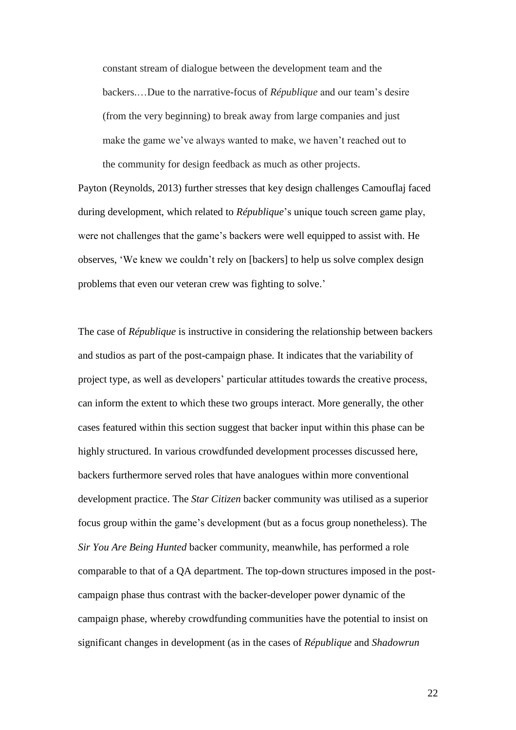constant stream of dialogue between the development team and the backers.…Due to the narrative-focus of *République* and our team's desire (from the very beginning) to break away from large companies and just make the game we've always wanted to make, we haven't reached out to the community for design feedback as much as other projects.

Payton (Reynolds, 2013) further stresses that key design challenges Camouflaj faced during development, which related to *République*'s unique touch screen game play, were not challenges that the game's backers were well equipped to assist with. He observes, 'We knew we couldn't rely on [backers] to help us solve complex design problems that even our veteran crew was fighting to solve.'

The case of *République* is instructive in considering the relationship between backers and studios as part of the post-campaign phase. It indicates that the variability of project type, as well as developers' particular attitudes towards the creative process, can inform the extent to which these two groups interact. More generally, the other cases featured within this section suggest that backer input within this phase can be highly structured. In various crowdfunded development processes discussed here, backers furthermore served roles that have analogues within more conventional development practice. The *Star Citizen* backer community was utilised as a superior focus group within the game's development (but as a focus group nonetheless). The *Sir You Are Being Hunted* backer community, meanwhile, has performed a role comparable to that of a QA department. The top-down structures imposed in the postcampaign phase thus contrast with the backer-developer power dynamic of the campaign phase, whereby crowdfunding communities have the potential to insist on significant changes in development (as in the cases of *République* and *Shadowrun*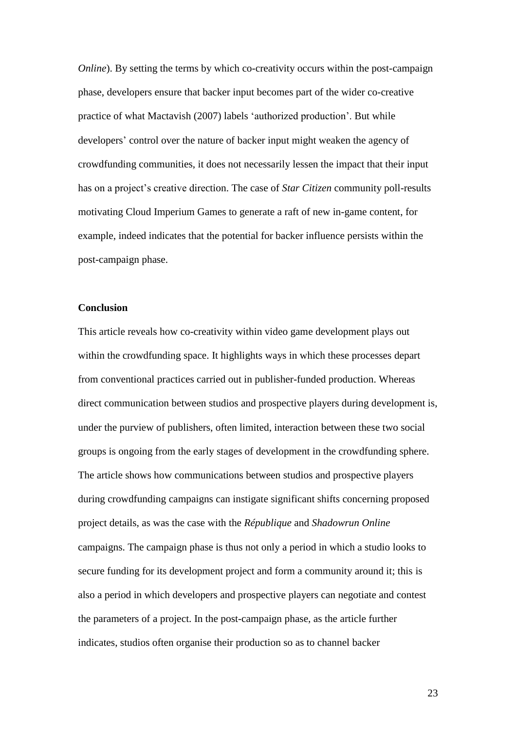*Online*). By setting the terms by which co-creativity occurs within the post-campaign phase, developers ensure that backer input becomes part of the wider co-creative practice of what Mactavish (2007) labels 'authorized production'. But while developers' control over the nature of backer input might weaken the agency of crowdfunding communities, it does not necessarily lessen the impact that their input has on a project's creative direction. The case of *Star Citizen* community poll-results motivating Cloud Imperium Games to generate a raft of new in-game content, for example, indeed indicates that the potential for backer influence persists within the post-campaign phase.

# **Conclusion**

This article reveals how co-creativity within video game development plays out within the crowdfunding space. It highlights ways in which these processes depart from conventional practices carried out in publisher-funded production. Whereas direct communication between studios and prospective players during development is, under the purview of publishers, often limited, interaction between these two social groups is ongoing from the early stages of development in the crowdfunding sphere. The article shows how communications between studios and prospective players during crowdfunding campaigns can instigate significant shifts concerning proposed project details, as was the case with the *République* and *Shadowrun Online* campaigns. The campaign phase is thus not only a period in which a studio looks to secure funding for its development project and form a community around it; this is also a period in which developers and prospective players can negotiate and contest the parameters of a project. In the post-campaign phase, as the article further indicates, studios often organise their production so as to channel backer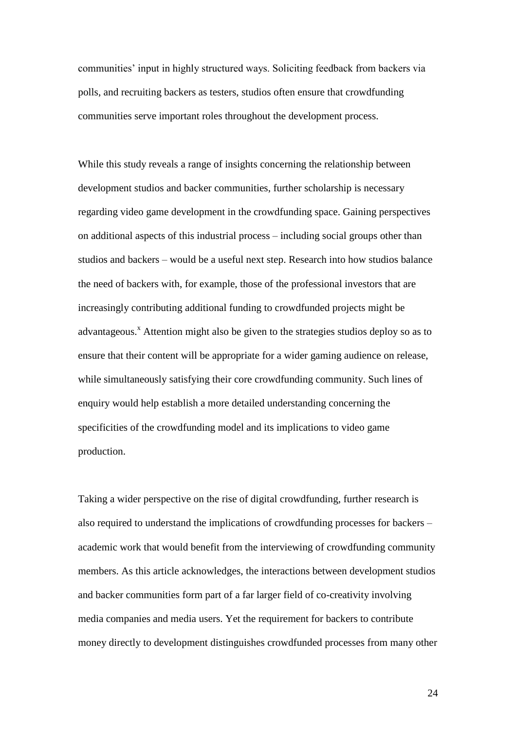communities' input in highly structured ways. Soliciting feedback from backers via polls, and recruiting backers as testers, studios often ensure that crowdfunding communities serve important roles throughout the development process.

While this study reveals a range of insights concerning the relationship between development studios and backer communities, further scholarship is necessary regarding video game development in the crowdfunding space. Gaining perspectives on additional aspects of this industrial process – including social groups other than studios and backers – would be a useful next step. Research into how studios balance the need of backers with, for example, those of the professional investors that are increasingly contributing additional funding to crowdfunded projects might be advantageous.<sup>x</sup> Attention might also be given to the strategies studios deploy so as to ensure that their content will be appropriate for a wider gaming audience on release, while simultaneously satisfying their core crowdfunding community. Such lines of enquiry would help establish a more detailed understanding concerning the specificities of the crowdfunding model and its implications to video game production.

Taking a wider perspective on the rise of digital crowdfunding, further research is also required to understand the implications of crowdfunding processes for backers – academic work that would benefit from the interviewing of crowdfunding community members. As this article acknowledges, the interactions between development studios and backer communities form part of a far larger field of co-creativity involving media companies and media users. Yet the requirement for backers to contribute money directly to development distinguishes crowdfunded processes from many other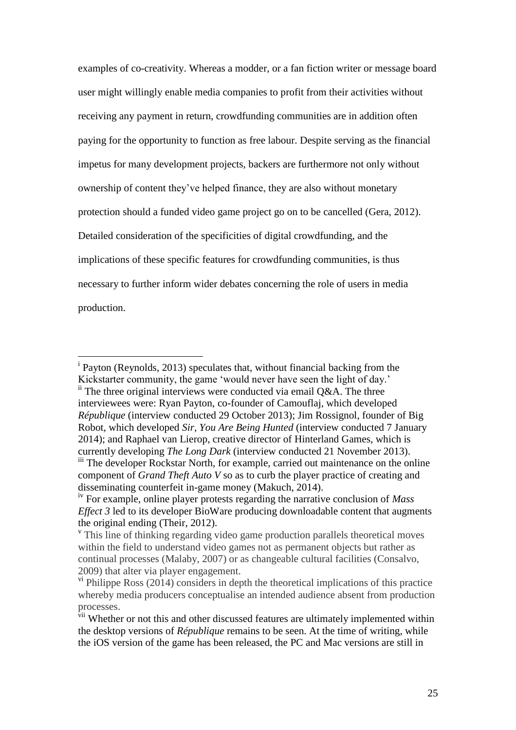examples of co-creativity. Whereas a modder, or a fan fiction writer or message board user might willingly enable media companies to profit from their activities without receiving any payment in return, crowdfunding communities are in addition often paying for the opportunity to function as free labour. Despite serving as the financial impetus for many development projects, backers are furthermore not only without ownership of content they've helped finance, they are also without monetary protection should a funded video game project go on to be cancelled (Gera, 2012). Detailed consideration of the specificities of digital crowdfunding, and the implications of these specific features for crowdfunding communities, is thus necessary to further inform wider debates concerning the role of users in media production.

i Payton (Reynolds, 2013) speculates that, without financial backing from the Kickstarter community, the game 'would never have seen the light of day.'  $\ddot{h}$ . The three original interviews were conducted via email Q&A. The three interviewees were: Ryan Payton, co-founder of Camouflaj, which developed *République* (interview conducted 29 October 2013); Jim Rossignol, founder of Big Robot, which developed *Sir, You Are Being Hunted* (interview conducted 7 January 2014); and Raphael van Lierop, creative director of Hinterland Games, which is currently developing *The Long Dark* (interview conducted 21 November 2013). <sup>iii</sup> The developer Rockstar North, for example, carried out maintenance on the online component of *Grand Theft Auto V* so as to curb the player practice of creating and disseminating counterfeit in-game money (Makuch, 2014).

 $\overline{a}$ 

iv For example, online player protests regarding the narrative conclusion of *Mass Effect 3* led to its developer BioWare producing downloadable content that augments the original ending (Their, 2012).

<sup>&</sup>lt;sup>v</sup> This line of thinking regarding video game production parallels theoretical moves within the field to understand video games not as permanent objects but rather as continual processes (Malaby, 2007) or as changeable cultural facilities (Consalvo, 2009) that alter via player engagement.

 $\gamma$ <sup>i</sup> Philippe Ross (2014) considers in depth the theoretical implications of this practice whereby media producers conceptualise an intended audience absent from production processes.

VII Whether or not this and other discussed features are ultimately implemented within the desktop versions of *République* remains to be seen. At the time of writing, while the iOS version of the game has been released, the PC and Mac versions are still in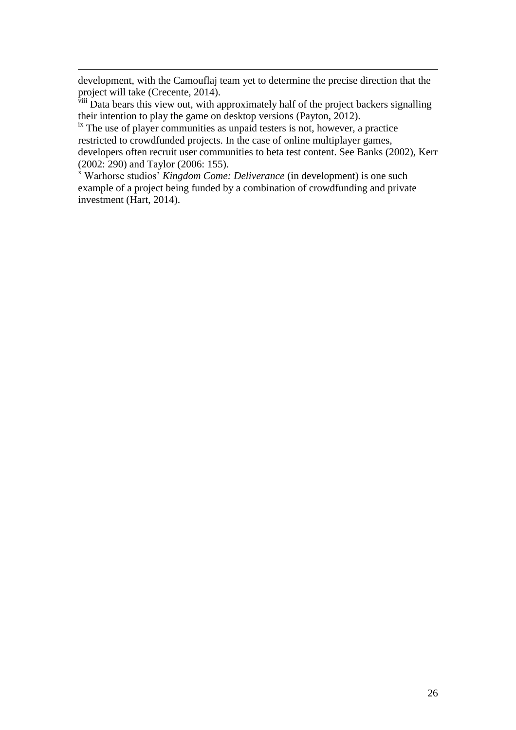development, with the Camouflaj team yet to determine the precise direction that the project will take (Crecente, 2014).

 $\overline{a}$ 

<sup>viii</sup> Data bears this view out, with approximately half of the project backers signalling their intention to play the game on desktop versions (Payton, 2012).

 $\frac{1}{10}$  The use of player communities as unpaid testers is not, however, a practice restricted to crowdfunded projects. In the case of online multiplayer games, developers often recruit user communities to beta test content. See Banks (2002), Kerr (2002: 290) and Taylor (2006: 155).

<sup>x</sup> Warhorse studios' *Kingdom Come: Deliverance* (in development) is one such example of a project being funded by a combination of crowdfunding and private investment (Hart, 2014).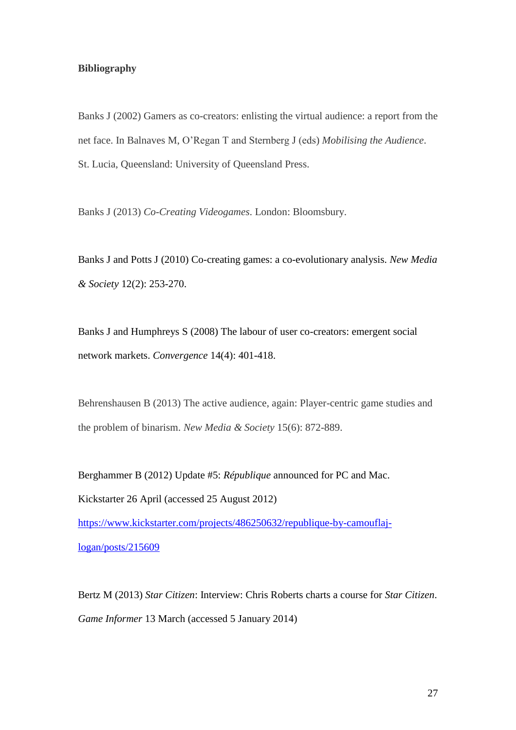## **Bibliography**

Banks J (2002) Gamers as co-creators: enlisting the virtual audience: a report from the net face. In Balnaves M, O'Regan T and Sternberg J (eds) *Mobilising the Audience*. St. Lucia, Queensland: University of Queensland Press.

Banks J (2013) *Co-Creating Videogames*. London: Bloomsbury.

Banks J and Potts J (2010) Co-creating games: a co-evolutionary analysis. *New Media & Society* 12(2): 253-270.

Banks J and Humphreys S (2008) The labour of user co-creators: emergent social network markets. *Convergence* 14(4): 401-418.

Behrenshausen B (2013) The active audience, again: Player-centric game studies and the problem of binarism. *New Media & Society* 15(6): 872-889.

Berghammer B (2012) Update #5: *République* announced for PC and Mac. Kickstarter 26 April (accessed 25 August 2012) [https://www.kickstarter.com/projects/486250632/republique-by-camouflaj](https://www.kickstarter.com/projects/486250632/republique-by-camouflaj-logan/posts/215609)[logan/posts/215609](https://www.kickstarter.com/projects/486250632/republique-by-camouflaj-logan/posts/215609)

Bertz M (2013) *Star Citizen*: Interview: Chris Roberts charts a course for *Star Citizen*. *Game Informer* 13 March (accessed 5 January 2014)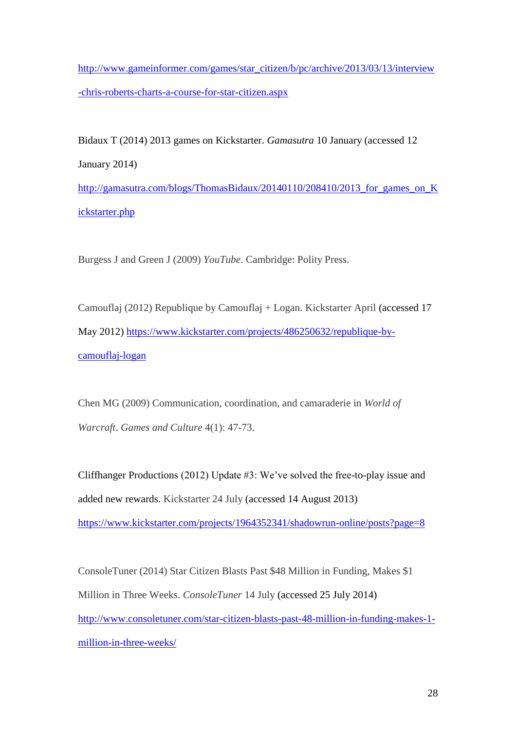[http://www.gameinformer.com/games/star\\_citizen/b/pc/archive/2013/03/13/interview](http://www.gameinformer.com/games/star_citizen/b/pc/archive/2013/03/13/interview-chris-roberts-charts-a-course-for-star-citizen.aspx) [-chris-roberts-charts-a-course-for-star-citizen.aspx](http://www.gameinformer.com/games/star_citizen/b/pc/archive/2013/03/13/interview-chris-roberts-charts-a-course-for-star-citizen.aspx)

Bidaux T (2014) 2013 games on Kickstarter. *Gamasutra* 10 January (accessed 12 January 2014) [http://gamasutra.com/blogs/ThomasBidaux/20140110/208410/2013\\_for\\_games\\_on\\_K](http://gamasutra.com/blogs/ThomasBidaux/20140110/208410/2013_for_games_on_Kickstarter.php) [ickstarter.php](http://gamasutra.com/blogs/ThomasBidaux/20140110/208410/2013_for_games_on_Kickstarter.php)

Burgess J and Green J (2009) *YouTube*. Cambridge: Polity Press.

Camouflaj (2012) Republique by Camouflaj + Logan. Kickstarter April (accessed 17 May 2012) [https://www.kickstarter.com/projects/486250632/republique-by](https://www.kickstarter.com/projects/486250632/republique-by-camouflaj-logan)[camouflaj-logan](https://www.kickstarter.com/projects/486250632/republique-by-camouflaj-logan)

Chen MG (2009) Communication, coordination, and camaraderie in *World of Warcraft*. *Games and Culture* 4(1): 47-73.

Cliffhanger Productions (2012) Update #3: We've solved the free-to-play issue and added new rewards. Kickstarter 24 July (accessed 14 August 2013) <https://www.kickstarter.com/projects/1964352341/shadowrun-online/posts?page=8>

ConsoleTuner (2014) Star Citizen Blasts Past \$48 Million in Funding, Makes \$1 Million in Three Weeks. *ConsoleTuner* 14 July (accessed 25 July 2014) [http://www.consoletuner.com/star-citizen-blasts-past-48-million-in-funding-makes-1](http://www.consoletuner.com/star-citizen-blasts-past-48-million-in-funding-makes-1-million-in-three-weeks/) [million-in-three-weeks/](http://www.consoletuner.com/star-citizen-blasts-past-48-million-in-funding-makes-1-million-in-three-weeks/)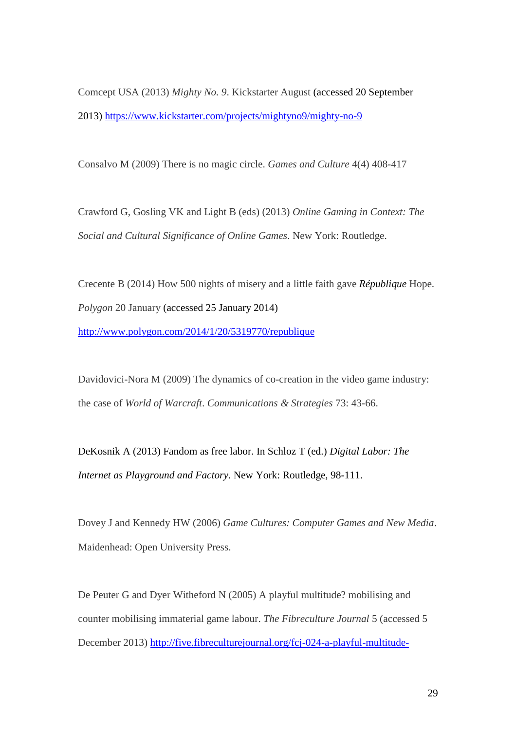Comcept USA (2013) *Mighty No. 9*. Kickstarter August (accessed 20 September 2013)<https://www.kickstarter.com/projects/mightyno9/mighty-no-9>

Consalvo M (2009) There is no magic circle. *Games and Culture* 4(4) 408-417

Crawford G, Gosling VK and Light B (eds) (2013) *Online Gaming in Context: The Social and Cultural Significance of Online Games*. New York: Routledge.

Crecente B (2014) How 500 nights of misery and a little faith gave *République* Hope. *Polygon* 20 January (accessed 25 January 2014) <http://www.polygon.com/2014/1/20/5319770/republique>

Davidovici-Nora M (2009) The dynamics of co-creation in the video game industry: the case of *World of Warcraft*. *Communications & Strategies* 73: 43-66.

DeKosnik A (2013) Fandom as free labor. In Schloz T (ed.) *Digital Labor: The Internet as Playground and Factory*. New York: Routledge, 98-111.

Dovey J and Kennedy HW (2006) *Game Cultures: Computer Games and New Media*. Maidenhead: Open University Press.

De Peuter G and Dyer Witheford N (2005) A playful multitude? mobilising and counter mobilising immaterial game labour. *The Fibreculture Journal* 5 (accessed 5 December 2013) [http://five.fibreculturejournal.org/fcj-024-a-playful-multitude-](http://five.fibreculturejournal.org/fcj-024-a-playful-multitude-mobilising-and-counter-mobilising-immaterial-game-labour/)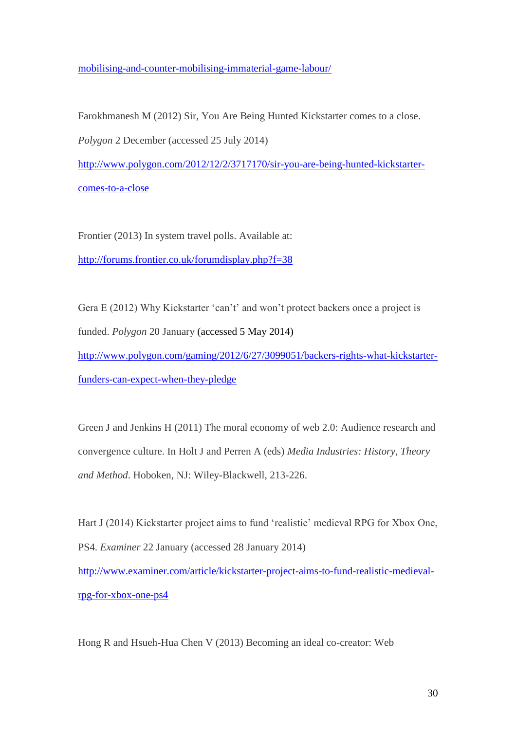[mobilising-and-counter-mobilising-immaterial-game-labour/](http://five.fibreculturejournal.org/fcj-024-a-playful-multitude-mobilising-and-counter-mobilising-immaterial-game-labour/)

Farokhmanesh M (2012) Sir, You Are Being Hunted Kickstarter comes to a close.

*Polygon* 2 December (accessed 25 July 2014)

[http://www.polygon.com/2012/12/2/3717170/sir-you-are-being-hunted-kickstarter](http://www.polygon.com/2012/12/2/3717170/sir-you-are-being-hunted-kickstarter-comes-to-a-close)[comes-to-a-close](http://www.polygon.com/2012/12/2/3717170/sir-you-are-being-hunted-kickstarter-comes-to-a-close)

Frontier (2013) In system travel polls. Available at: <http://forums.frontier.co.uk/forumdisplay.php?f=38>

Gera E (2012) Why Kickstarter 'can't' and won't protect backers once a project is funded. *Polygon* 20 January (accessed 5 May 2014)

[http://www.polygon.com/gaming/2012/6/27/3099051/backers-rights-what-kickstarter](http://www.polygon.com/gaming/2012/6/27/3099051/backers-rights-what-kickstarter-funders-can-expect-when-they-pledge)[funders-can-expect-when-they-pledge](http://www.polygon.com/gaming/2012/6/27/3099051/backers-rights-what-kickstarter-funders-can-expect-when-they-pledge)

Green J and Jenkins H (2011) The moral economy of web 2.0: Audience research and convergence culture. In Holt J and Perren A (eds) *Media Industries: History, Theory and Method*. Hoboken, NJ: Wiley-Blackwell, 213-226.

Hart J (2014) Kickstarter project aims to fund 'realistic' medieval RPG for Xbox One, PS4. *Examiner* 22 January (accessed 28 January 2014) [http://www.examiner.com/article/kickstarter-project-aims-to-fund-realistic-medieval](http://www.examiner.com/article/kickstarter-project-aims-to-fund-realistic-medieval-rpg-for-xbox-one-ps4)[rpg-for-xbox-one-ps4](http://www.examiner.com/article/kickstarter-project-aims-to-fund-realistic-medieval-rpg-for-xbox-one-ps4)

Hong R and Hsueh-Hua Chen V (2013) Becoming an ideal co-creator: Web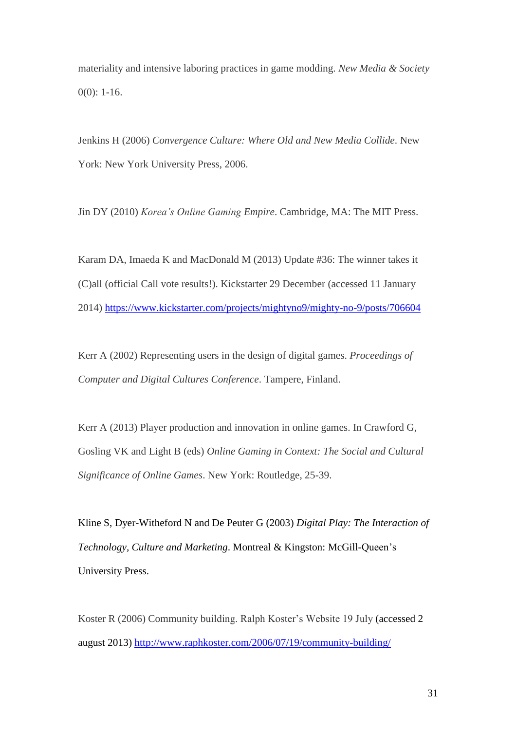materiality and intensive laboring practices in game modding. *New Media & Society*  $0(0)$ : 1-16.

Jenkins H (2006) *Convergence Culture: Where Old and New Media Collide*. New York: New York University Press, 2006.

Jin DY (2010) *Korea's Online Gaming Empire*. Cambridge, MA: The MIT Press.

Karam DA, Imaeda K and MacDonald M (2013) Update #36: The winner takes it (C)all (official Call vote results!). Kickstarter 29 December (accessed 11 January 2014)<https://www.kickstarter.com/projects/mightyno9/mighty-no-9/posts/706604>

Kerr A (2002) Representing users in the design of digital games. *Proceedings of Computer and Digital Cultures Conference*. Tampere, Finland.

Kerr A (2013) Player production and innovation in online games. In Crawford G, Gosling VK and Light B (eds) *Online Gaming in Context: The Social and Cultural Significance of Online Games*. New York: Routledge, 25-39.

Kline S, Dyer-Witheford N and De Peuter G (2003) *Digital Play: The Interaction of Technology, Culture and Marketing*. Montreal & Kingston: McGill-Queen's University Press.

Koster R (2006) Community building. Ralph Koster's Website 19 July (accessed 2 august 2013)<http://www.raphkoster.com/2006/07/19/community-building/>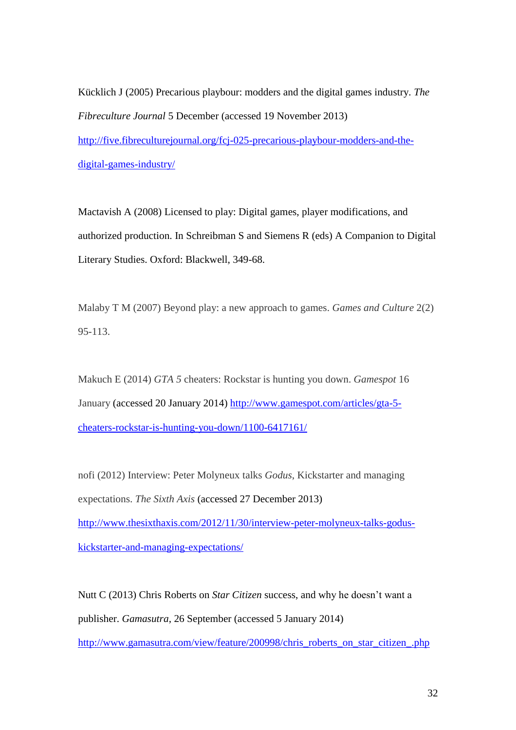Kücklich J (2005) Precarious playbour: modders and the digital games industry. *The Fibreculture Journal* 5 December (accessed 19 November 2013) [http://five.fibreculturejournal.org/fcj-025-precarious-playbour-modders-and-the-](http://five.fibreculturejournal.org/fcj-025-precarious-playbour-modders-and-the-digital-games-industry/)

[digital-games-industry/](http://five.fibreculturejournal.org/fcj-025-precarious-playbour-modders-and-the-digital-games-industry/)

Mactavish A (2008) Licensed to play: Digital games, player modifications, and authorized production. In Schreibman S and Siemens R (eds) A Companion to Digital Literary Studies. Oxford: Blackwell, 349-68.

Malaby T M (2007) Beyond play: a new approach to games. *Games and Culture* 2(2) 95-113.

Makuch E (2014) *GTA 5* cheaters: Rockstar is hunting you down. *Gamespot* 16 January (accessed 20 January 2014) [http://www.gamespot.com/articles/gta-5](http://www.gamespot.com/articles/gta-5-cheaters-rockstar-is-hunting-you-down/1100-6417161/) [cheaters-rockstar-is-hunting-you-down/1100-6417161/](http://www.gamespot.com/articles/gta-5-cheaters-rockstar-is-hunting-you-down/1100-6417161/)

nofi (2012) Interview: Peter Molyneux talks *Godus*, Kickstarter and managing expectations. *The Sixth Axis* (accessed 27 December 2013) [http://www.thesixthaxis.com/2012/11/30/interview-peter-molyneux-talks-godus](http://www.thesixthaxis.com/2012/11/30/interview-peter-molyneux-talks-godus-kickstarter-and-managing-expectations/)[kickstarter-and-managing-expectations/](http://www.thesixthaxis.com/2012/11/30/interview-peter-molyneux-talks-godus-kickstarter-and-managing-expectations/)

Nutt C (2013) Chris Roberts on *Star Citizen* success, and why he doesn't want a publisher. *Gamasutra*, 26 September (accessed 5 January 2014)

[http://www.gamasutra.com/view/feature/200998/chris\\_roberts\\_on\\_star\\_citizen\\_.php](http://www.gamasutra.com/view/feature/200998/chris_roberts_on_star_citizen_.php)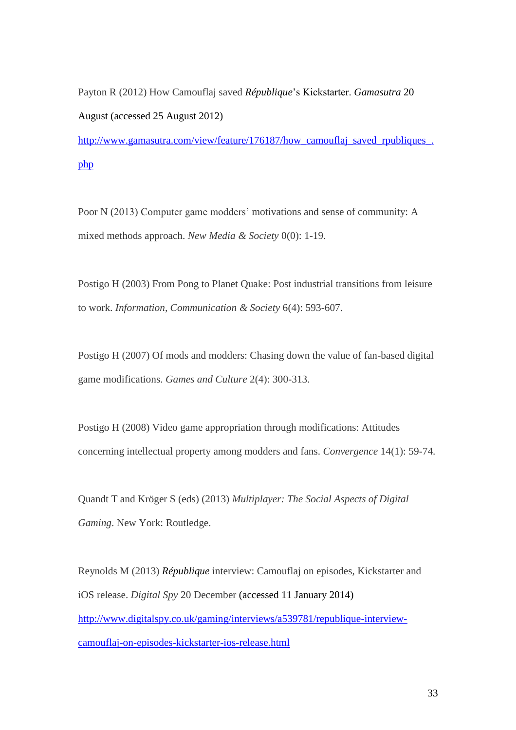Payton R (2012) How Camouflaj saved *République*'s Kickstarter. *Gamasutra* 20 August (accessed 25 August 2012)

[http://www.gamasutra.com/view/feature/176187/how\\_camouflaj\\_saved\\_rpubliques\\_.](http://www.gamasutra.com/view/feature/176187/how_camouflaj_saved_rpubliques_.php) [php](http://www.gamasutra.com/view/feature/176187/how_camouflaj_saved_rpubliques_.php)

Poor N (2013) Computer game modders' motivations and sense of community: A mixed methods approach. *New Media & Society* 0(0): 1-19.

Postigo H (2003) From Pong to Planet Quake: Post industrial transitions from leisure to work. *Information, Communication & Society* 6(4): 593-607.

Postigo H (2007) Of mods and modders: Chasing down the value of fan-based digital game modifications. *Games and Culture* 2(4): 300-313.

Postigo H (2008) Video game appropriation through modifications: Attitudes concerning intellectual property among modders and fans. *Convergence* 14(1): 59-74.

Quandt T and Kröger S (eds) (2013) *Multiplayer: The Social Aspects of Digital Gaming*. New York: Routledge.

Reynolds M (2013) *République* interview: Camouflaj on episodes, Kickstarter and iOS release. *Digital Spy* 20 December (accessed 11 January 2014) [http://www.digitalspy.co.uk/gaming/interviews/a539781/republique-interview](http://www.digitalspy.co.uk/gaming/interviews/a539781/republique-interview-camouflaj-on-episodes-kickstarter-ios-release.html)[camouflaj-on-episodes-kickstarter-ios-release.html](http://www.digitalspy.co.uk/gaming/interviews/a539781/republique-interview-camouflaj-on-episodes-kickstarter-ios-release.html)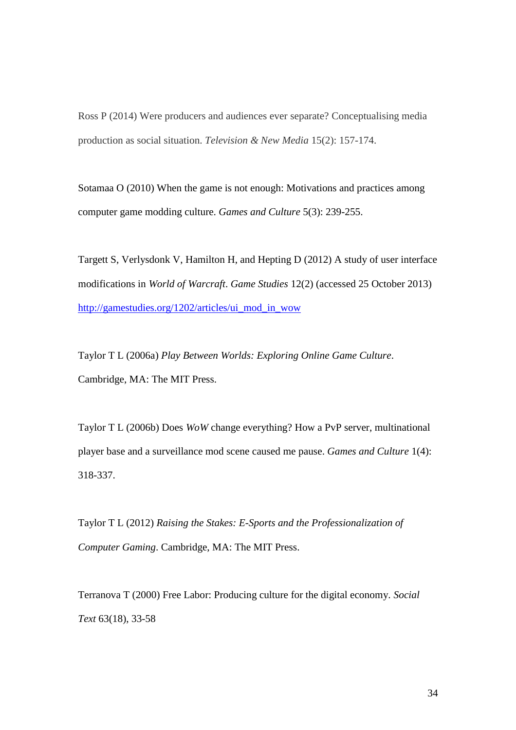Ross P (2014) Were producers and audiences ever separate? Conceptualising media production as social situation. *Television & New Media* 15(2): 157-174.

Sotamaa O (2010) When the game is not enough: Motivations and practices among computer game modding culture. *Games and Culture* 5(3): 239-255.

Targett S, Verlysdonk V, Hamilton H, and Hepting D (2012) A study of user interface modifications in *World of Warcraft*. *Game Studies* 12(2) (accessed 25 October 2013) [http://gamestudies.org/1202/articles/ui\\_mod\\_in\\_wow](http://gamestudies.org/1202/articles/ui_mod_in_wow)

Taylor T L (2006a) *Play Between Worlds: Exploring Online Game Culture*. Cambridge, MA: The MIT Press.

Taylor T L (2006b) Does *WoW* change everything? How a PvP server, multinational player base and a surveillance mod scene caused me pause. *Games and Culture* 1(4): 318-337.

Taylor T L (2012) *Raising the Stakes: E-Sports and the Professionalization of Computer Gaming*. Cambridge, MA: The MIT Press.

Terranova T (2000) Free Labor: Producing culture for the digital economy. *Social Text* 63(18), 33-58